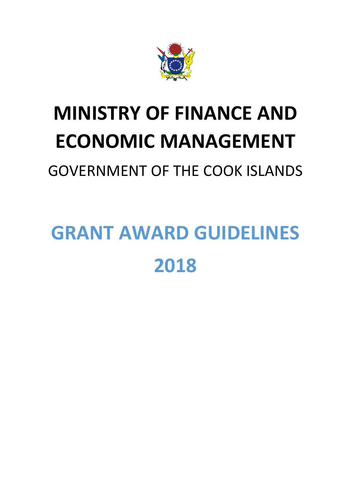

## **MINISTRY OF FINANCE AND ECONOMIC MANAGEMENT**

GOVERNMENT OF THE COOK ISLANDS

# **GRANT AWARD GUIDELINES 2018**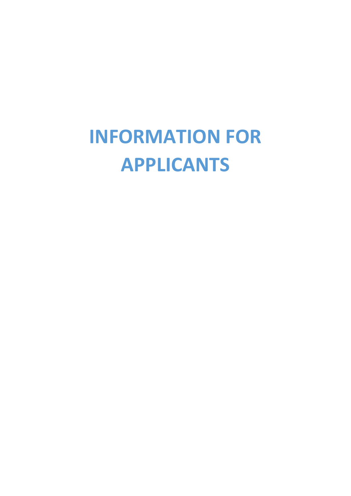## **INFORMATION FOR APPLICANTS**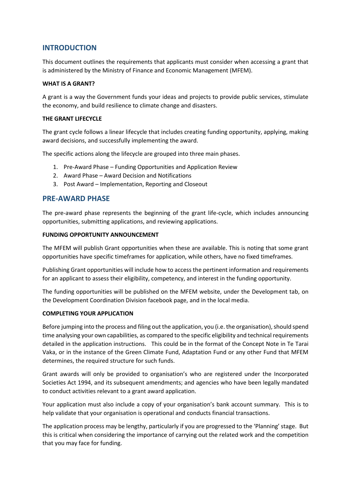#### **INTRODUCTION**

This document outlines the requirements that applicants must consider when accessing a grant that is administered by the Ministry of Finance and Economic Management (MFEM).

#### **WHAT IS A GRANT?**

A grant is a way the Government funds your ideas and projects to provide public services, stimulate the economy, and build resilience to climate change and disasters.

#### **THE GRANT LIFECYCLE**

The grant cycle follows a linear lifecycle that includes creating funding opportunity, applying, making award decisions, and successfully implementing the award.

The specific actions along the lifecycle are grouped into three main phases.

- 1. Pre-Award Phase Funding Opportunities and Application Review
- 2. Award Phase Award Decision and Notifications
- 3. Post Award Implementation, Reporting and Closeout

#### **PRE-AWARD PHASE**

The pre-award phase represents the beginning of the grant life-cycle, which includes announcing opportunities, submitting applications, and reviewing applications.

#### **FUNDING OPPORTUNITY ANNOUNCEMENT**

The MFEM will publish Grant opportunities when these are available. This is noting that some grant opportunities have specific timeframes for application, while others, have no fixed timeframes.

Publishing Grant opportunities will include how to access the pertinent information and requirements for an applicant to assess their eligibility, competency, and interest in the funding opportunity.

The funding opportunities will be published on the MFEM website, under the Development tab, on the Development Coordination Division facebook page, and in the local media.

#### **COMPLETING YOUR APPLICATION**

Before jumping into the process and filing out the application, you (i.e. the organisation), should spend time analysing your own capabilities, as compared to the specific eligibility and technical requirements detailed in the application instructions. This could be in the format of the Concept Note in Te Tarai Vaka, or in the instance of the Green Climate Fund, Adaptation Fund or any other Fund that MFEM determines, the required structure for such funds.

Grant awards will only be provided to organisation's who are registered under the Incorporated Societies Act 1994, and its subsequent amendments; and agencies who have been legally mandated to conduct activities relevant to a grant award application.

Your application must also include a copy of your organisation's bank account summary. This is to help validate that your organisation is operational and conducts financial transactions.

The application process may be lengthy, particularly if you are progressed to the 'Planning' stage. But this is critical when considering the importance of carrying out the related work and the competition that you may face for funding.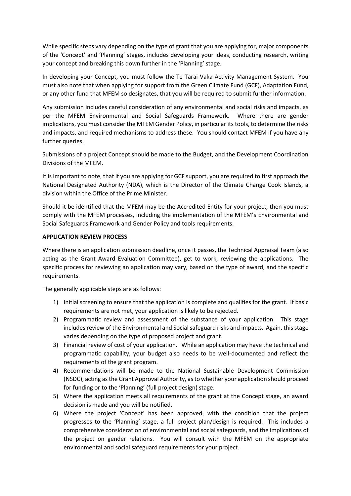While specific steps vary depending on the type of grant that you are applying for, major components of the 'Concept' and 'Planning' stages, includes developing your ideas, conducting research, writing your concept and breaking this down further in the 'Planning' stage.

In developing your Concept, you must follow the Te Tarai Vaka Activity Management System. You must also note that when applying for support from the Green Climate Fund (GCF), Adaptation Fund, or any other fund that MFEM so designates, that you will be required to submit further information.

Any submission includes careful consideration of any environmental and social risks and impacts, as per the MFEM Environmental and Social Safeguards Framework. Where there are gender implications, you must consider the MFEM Gender Policy, in particular its tools, to determine the risks and impacts, and required mechanisms to address these. You should contact MFEM if you have any further queries.

Submissions of a project Concept should be made to the Budget, and the Development Coordination Divisions of the MFEM.

It is important to note, that if you are applying for GCF support, you are required to first approach the National Designated Authority (NDA), which is the Director of the Climate Change Cook Islands, a division within the Office of the Prime Minister.

Should it be identified that the MFEM may be the Accredited Entity for your project, then you must comply with the MFEM processes, including the implementation of the MFEM's Environmental and Social Safeguards Framework and Gender Policy and tools requirements.

#### **APPLICATION REVIEW PROCESS**

Where there is an application submission deadline, once it passes, the Technical Appraisal Team (also acting as the Grant Award Evaluation Committee), get to work, reviewing the applications. The specific process for reviewing an application may vary, based on the type of award, and the specific requirements.

The generally applicable steps are as follows:

- 1) Initial screening to ensure that the application is complete and qualifies for the grant. If basic requirements are not met, your application is likely to be rejected.
- 2) Programmatic review and assessment of the substance of your application. This stage includes review of the Environmental and Social safeguard risks and impacts. Again, this stage varies depending on the type of proposed project and grant.
- 3) Financial review of cost of your application. While an application may have the technical and programmatic capability, your budget also needs to be well-documented and reflect the requirements of the grant program.
- 4) Recommendations will be made to the National Sustainable Development Commission (NSDC), acting as the Grant Approval Authority, as to whether your application should proceed for funding or to the 'Planning' (full project design) stage.
- 5) Where the application meets all requirements of the grant at the Concept stage, an award decision is made and you will be notified.
- 6) Where the project 'Concept' has been approved, with the condition that the project progresses to the 'Planning' stage, a full project plan/design is required. This includes a comprehensive consideration of environmental and social safeguards, and the implications of the project on gender relations. You will consult with the MFEM on the appropriate environmental and social safeguard requirements for your project.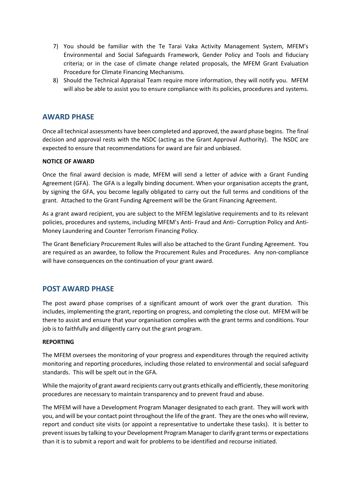- 7) You should be familiar with the Te Tarai Vaka Activity Management System, MFEM's Environmental and Social Safeguards Framework, Gender Policy and Tools and fiduciary criteria; or in the case of climate change related proposals, the MFEM Grant Evaluation Procedure for Climate Financing Mechanisms.
- 8) Should the Technical Appraisal Team require more information, they will notify you. MFEM will also be able to assist you to ensure compliance with its policies, procedures and systems.

#### **AWARD PHASE**

Once all technical assessments have been completed and approved, the award phase begins. The final decision and approval rests with the NSDC (acting as the Grant Approval Authority). The NSDC are expected to ensure that recommendations for award are fair and unbiased.

#### **NOTICE OF AWARD**

Once the final award decision is made, MFEM will send a letter of advice with a Grant Funding Agreement (GFA). The GFA is a legally binding document. When your organisation accepts the grant, by signing the GFA, you become legally obligated to carry out the full terms and conditions of the grant. Attached to the Grant Funding Agreement will be the Grant Financing Agreement.

As a grant award recipient, you are subject to the MFEM legislative requirements and to its relevant policies, procedures and systems, including MFEM's Anti- Fraud and Anti- Corruption Policy and Anti-Money Laundering and Counter Terrorism Financing Policy.

The Grant Beneficiary Procurement Rules will also be attached to the Grant Funding Agreement. You are required as an awardee, to follow the Procurement Rules and Procedures. Any non-compliance will have consequences on the continuation of your grant award.

#### **POST AWARD PHASE**

The post award phase comprises of a significant amount of work over the grant duration. This includes, implementing the grant, reporting on progress, and completing the close out. MFEM will be there to assist and ensure that your organisation complies with the grant terms and conditions. Your job is to faithfully and diligently carry out the grant program.

#### **REPORTING**

The MFEM oversees the monitoring of your progress and expenditures through the required activity monitoring and reporting procedures, including those related to environmental and social safeguard standards. This will be spelt out in the GFA.

While the majority of grant award recipients carry out grants ethically and efficiently, these monitoring procedures are necessary to maintain transparency and to prevent fraud and abuse.

The MFEM will have a Development Program Manager designated to each grant. They will work with you, and will be your contact point throughout the life of the grant. They are the ones who will review, report and conduct site visits (or appoint a representative to undertake these tasks). It is better to prevent issues by talking to your Development Program Manager to clarify grant terms or expectations than it is to submit a report and wait for problems to be identified and recourse initiated.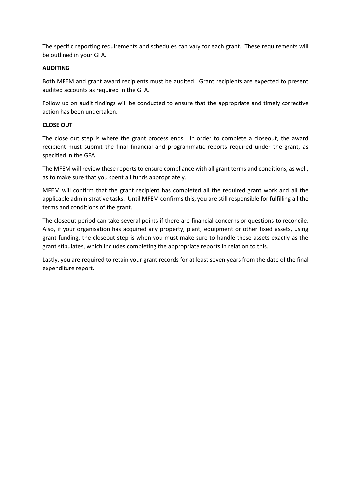The specific reporting requirements and schedules can vary for each grant. These requirements will be outlined in your GFA.

#### **AUDITING**

Both MFEM and grant award recipients must be audited. Grant recipients are expected to present audited accounts as required in the GFA.

Follow up on audit findings will be conducted to ensure that the appropriate and timely corrective action has been undertaken.

#### **CLOSE OUT**

The close out step is where the grant process ends. In order to complete a closeout, the award recipient must submit the final financial and programmatic reports required under the grant, as specified in the GFA.

The MFEM will review these reports to ensure compliance with all grant terms and conditions, as well, as to make sure that you spent all funds appropriately.

MFEM will confirm that the grant recipient has completed all the required grant work and all the applicable administrative tasks. Until MFEM confirms this, you are still responsible for fulfilling all the terms and conditions of the grant.

The closeout period can take several points if there are financial concerns or questions to reconcile. Also, if your organisation has acquired any property, plant, equipment or other fixed assets, using grant funding, the closeout step is when you must make sure to handle these assets exactly as the grant stipulates, which includes completing the appropriate reports in relation to this.

Lastly, you are required to retain your grant records for at least seven years from the date of the final expenditure report.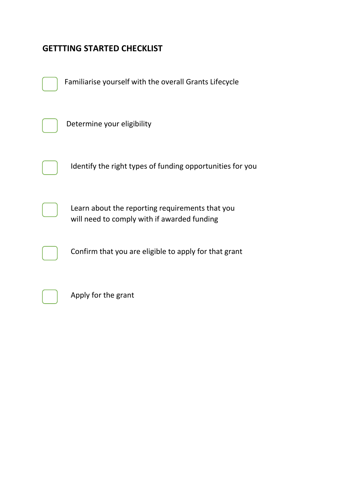### **GETTTING STARTED CHECKLIST**



Confirm that you are eligible to apply for that grant



Apply for the grant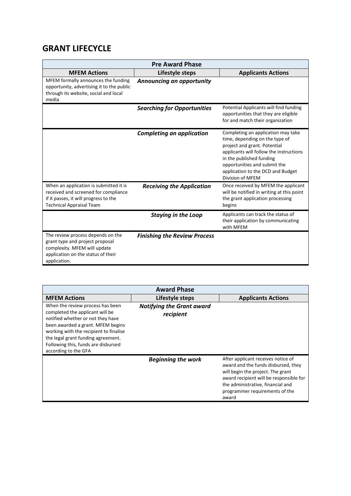### **GRANT LIFECYCLE**

| <b>Pre Award Phase</b>                                                                                                                                     |                                     |                                                                                                                                                                                                                                                                      |  |
|------------------------------------------------------------------------------------------------------------------------------------------------------------|-------------------------------------|----------------------------------------------------------------------------------------------------------------------------------------------------------------------------------------------------------------------------------------------------------------------|--|
| <b>MFEM Actions</b>                                                                                                                                        | Lifestyle steps                     | <b>Applicants Actions</b>                                                                                                                                                                                                                                            |  |
| MFEM formally announces the funding<br>opportunity, advertising it to the public<br>through its website, social and local<br>media                         | Announcing an opportunity           |                                                                                                                                                                                                                                                                      |  |
|                                                                                                                                                            | <b>Searching for Opportunities</b>  | Potential Applicants will find funding<br>opportunities that they are eligible<br>for and match their organization                                                                                                                                                   |  |
|                                                                                                                                                            | <b>Completing an application</b>    | Completing an application may take<br>time, depending on the type of<br>project and grant. Potential<br>applicants will follow the instructions<br>in the published funding<br>opportunities and submit the<br>application to the DCD and Budget<br>Division of MFEM |  |
| When an application is submitted it is<br>received and screened for compliance<br>if it passes, it will progress to the<br><b>Technical Appraisal Team</b> | <b>Receiving the Application</b>    | Once received by MFEM the applicant<br>will be notified in writing at this point<br>the grant application processing<br>begins                                                                                                                                       |  |
|                                                                                                                                                            | <b>Staying in the Loop</b>          | Applicants can track the status of<br>their application by communicating<br>with MFEM                                                                                                                                                                                |  |
| The review process depends on the<br>grant type and project proposal<br>complexity. MFEM will update<br>application on the status of their<br>application. | <b>Finishing the Review Process</b> |                                                                                                                                                                                                                                                                      |  |

| <b>Award Phase</b>                                                                                                                                                                                                                                                                           |                                               |                                                                                                                                                                                                                                           |  |
|----------------------------------------------------------------------------------------------------------------------------------------------------------------------------------------------------------------------------------------------------------------------------------------------|-----------------------------------------------|-------------------------------------------------------------------------------------------------------------------------------------------------------------------------------------------------------------------------------------------|--|
| <b>MFEM Actions</b>                                                                                                                                                                                                                                                                          | Lifestyle steps                               | <b>Applicants Actions</b>                                                                                                                                                                                                                 |  |
| When the review process has been<br>completed the applicant will be<br>notified whether or not they have<br>been awarded a grant. MFEM begins<br>working with the recipient to finalise<br>the legal grant funding agreement.<br>Following this, funds are disbursed<br>according to the GFA | <b>Notifying the Grant award</b><br>recipient |                                                                                                                                                                                                                                           |  |
|                                                                                                                                                                                                                                                                                              | <b>Beginning the work</b>                     | After applicant receives notice of<br>award and the funds disbursed, they<br>will begin the project. The grant<br>award recipient will be responsible for<br>the administrative, financial and<br>programmer requirements of the<br>award |  |